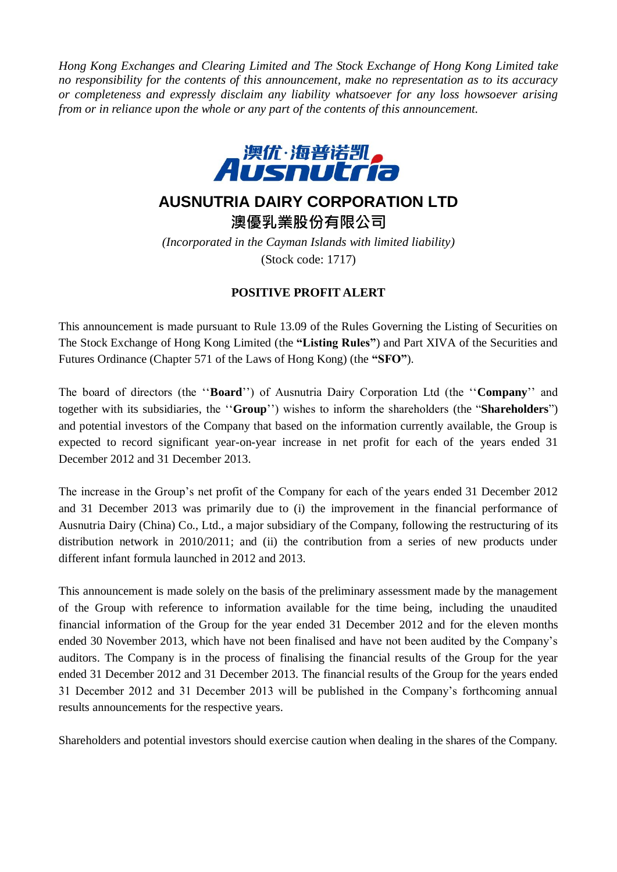*Hong Kong Exchanges and Clearing Limited and The Stock Exchange of Hong Kong Limited take no responsibility for the contents of this announcement, make no representation as to its accuracy or completeness and expressly disclaim any liability whatsoever for any loss howsoever arising from or in reliance upon the whole or any part of the contents of this announcement.*



## **AUSNUTRIA DAIRY CORPORATION LTD**

澳優乳業股份有限公司

*(Incorporated in the Cayman Islands with limited liability)* (Stock code: 1717)

## **POSITIVE PROFIT ALERT**

This announcement is made pursuant to Rule 13.09 of the Rules Governing the Listing of Securities on The Stock Exchange of Hong Kong Limited (the **"Listing Rules"**) and Part XIVA of the Securities and Futures Ordinance (Chapter 571 of the Laws of Hong Kong) (the **"SFO"**).

The board of directors (the ''**Board**'') of Ausnutria Dairy Corporation Ltd (the ''**Company**'' and together with its subsidiaries, the ''**Group**'') wishes to inform the shareholders (the "**Shareholders**") and potential investors of the Company that based on the information currently available, the Group is expected to record significant year-on-year increase in net profit for each of the years ended 31 December 2012 and 31 December 2013.

The increase in the Group's net profit of the Company for each of the years ended 31 December 2012 and 31 December 2013 was primarily due to (i) the improvement in the financial performance of Ausnutria Dairy (China) Co., Ltd., a major subsidiary of the Company, following the restructuring of its distribution network in 2010/2011; and (ii) the contribution from a series of new products under different infant formula launched in 2012 and 2013.

This announcement is made solely on the basis of the preliminary assessment made by the management of the Group with reference to information available for the time being, including the unaudited financial information of the Group for the year ended 31 December 2012 and for the eleven months ended 30 November 2013, which have not been finalised and have not been audited by the Company's auditors. The Company is in the process of finalising the financial results of the Group for the year ended 31 December 2012 and 31 December 2013. The financial results of the Group for the years ended 31 December 2012 and 31 December 2013 will be published in the Company's forthcoming annual results announcements for the respective years.

Shareholders and potential investors should exercise caution when dealing in the shares of the Company.